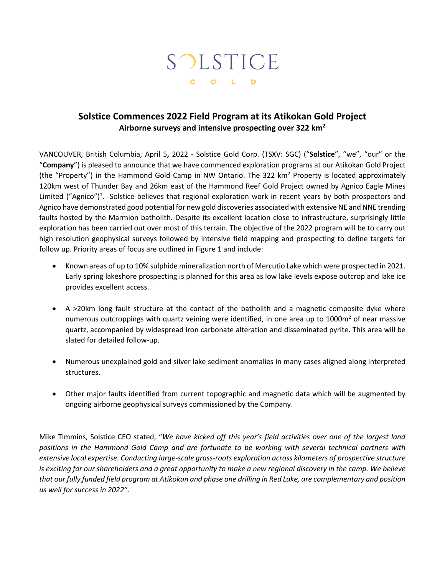# SOLSTICE G O L D

# **Solstice Commences 2022 Field Program at its Atikokan Gold Project Airborne surveys and intensive prospecting over 322 km<sup>2</sup>**

VANCOUVER, British Columbia, April 5**,** 2022 - Solstice Gold Corp. (TSXV: SGC) ("**Solstice**", "we", "our" or the "**Company**") is pleased to announce that we have commenced exploration programs at our Atikokan Gold Project (the "Property") in the Hammond Gold Camp in NW Ontario. The 322  $km<sup>2</sup>$  Property is located approximately 120km west of Thunder Bay and 26km east of the Hammond Reef Gold Project owned by Agnico Eagle Mines Limited ("Agnico")<sup>1</sup>. Solstice believes that regional exploration work in recent years by both prospectors and Agnico have demonstrated good potential for new gold discoveries associated with extensive NE and NNE trending faults hosted by the Marmion batholith. Despite its excellent location close to infrastructure, surprisingly little exploration has been carried out over most of this terrain. The objective of the 2022 program will be to carry out high resolution geophysical surveys followed by intensive field mapping and prospecting to define targets for follow up. Priority areas of focus are outlined in Figure 1 and include:

- Known areas of up to 10% sulphide mineralization north of Mercutio Lake which were prospected in 2021. Early spring lakeshore prospecting is planned for this area as low lake levels expose outcrop and lake ice provides excellent access.
- A >20km long fault structure at the contact of the batholith and a magnetic composite dyke where numerous outcroppings with quartz veining were identified, in one area up to 1000 $m<sup>2</sup>$  of near massive quartz, accompanied by widespread iron carbonate alteration and disseminated pyrite. This area will be slated for detailed follow-up.
- Numerous unexplained gold and silver lake sediment anomalies in many cases aligned along interpreted structures.
- Other major faults identified from current topographic and magnetic data which will be augmented by ongoing airborne geophysical surveys commissioned by the Company.

Mike Timmins, Solstice CEO stated, "*We have kicked off this year's field activities over one of the largest land positions in the Hammond Gold Camp and are fortunate to be working with several technical partners with extensive local expertise. Conducting large-scale grass-roots exploration across kilometers of prospective structure is exciting for our shareholders and a great opportunity to make a new regional discovery in the camp. We believe that our fully funded field program at Atikokan and phase one drilling in Red Lake, are complementary and position us well for success in 2022"*.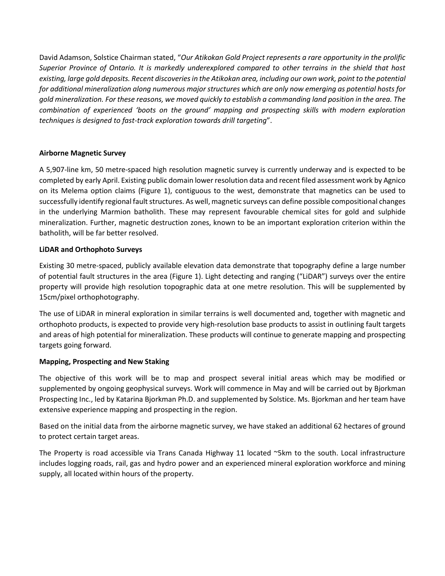David Adamson, Solstice Chairman stated, "*Our Atikokan Gold Project represents a rare opportunity in the prolific Superior Province of Ontario. It is markedly underexplored compared to other terrains in the shield that host existing, large gold deposits. Recent discoveries in the Atikokan area, including our own work, point to the potential for additional mineralization along numerous major structures which are only now emerging as potential hosts for gold mineralization. For these reasons, we moved quickly to establish a commanding land position in the area. The combination of experienced 'boots on the ground' mapping and prospecting skills with modern exploration techniques is designed to fast-track exploration towards drill targeting*".

### **Airborne Magnetic Survey**

A 5,907-line km, 50 metre-spaced high resolution magnetic survey is currently underway and is expected to be completed by early April. Existing public domain lower resolution data and recent filed assessment work by Agnico on its Melema option claims (Figure 1), contiguous to the west, demonstrate that magnetics can be used to successfully identify regional fault structures. As well, magnetic surveys can define possible compositional changes in the underlying Marmion batholith. These may represent favourable chemical sites for gold and sulphide mineralization. Further, magnetic destruction zones, known to be an important exploration criterion within the batholith, will be far better resolved.

#### **LiDAR and Orthophoto Surveys**

Existing 30 metre-spaced, publicly available elevation data demonstrate that topography define a large number of potential fault structures in the area (Figure 1). Light detecting and ranging ("LiDAR") surveys over the entire property will provide high resolution topographic data at one metre resolution. This will be supplemented by 15cm/pixel orthophotography.

The use of LiDAR in mineral exploration in similar terrains is well documented and, together with magnetic and orthophoto products, is expected to provide very high-resolution base products to assist in outlining fault targets and areas of high potential for mineralization. These products will continue to generate mapping and prospecting targets going forward.

#### **Mapping, Prospecting and New Staking**

The objective of this work will be to map and prospect several initial areas which may be modified or supplemented by ongoing geophysical surveys. Work will commence in May and will be carried out by Bjorkman Prospecting Inc., led by Katarina Bjorkman Ph.D. and supplemented by Solstice. Ms. Bjorkman and her team have extensive experience mapping and prospecting in the region.

Based on the initial data from the airborne magnetic survey, we have staked an additional 62 hectares of ground to protect certain target areas.

The Property is road accessible via Trans Canada Highway 11 located ~5km to the south. Local infrastructure includes logging roads, rail, gas and hydro power and an experienced mineral exploration workforce and mining supply, all located within hours of the property.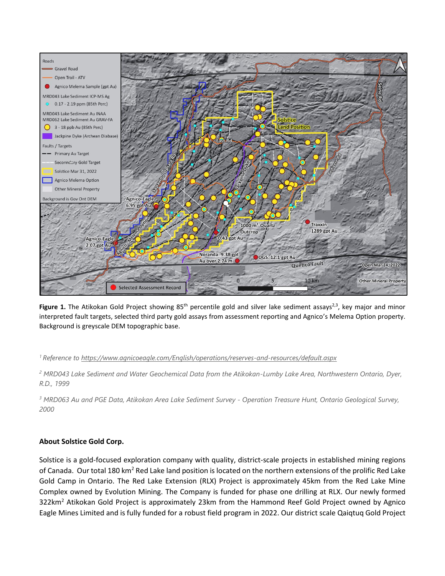

Figure 1. The Atikokan Gold Project showing 85<sup>th</sup> percentile gold and silver lake sediment assays<sup>2,3</sup>, key major and minor interpreted fault targets, selected third party gold assays from assessment reporting and Agnico's Melema Option property. Background is greyscale DEM topographic base.

#### *<sup>1</sup> Reference to<https://www.agnicoeagle.com/English/operations/reserves-and-resources/default.aspx>*

*<sup>2</sup> MRD043 Lake Sediment and Water Geochemical Data from the Atikokan-Lumby Lake Area, Northwestern Ontario, Dyer, R.D., 1999*

*<sup>3</sup> MRD063 Au and PGE Data, Atikokan Area Lake Sediment Survey - Operation Treasure Hunt, Ontario Geological Survey, 2000*

#### **About Solstice Gold Corp.**

Solstice is a gold-focused exploration company with quality, district-scale projects in established mining regions of Canada. Our total 180 km<sup>2</sup> Red Lake land position is located on the northern extensions of the prolific Red Lake Gold Camp in Ontario. The Red Lake Extension (RLX) Project is approximately 45km from the Red Lake Mine Complex owned by Evolution Mining. The Company is funded for phase one drilling at RLX. Our newly formed 322km<sup>2</sup> Atikokan Gold Project is approximately 23km from the Hammond Reef Gold Project owned by Agnico Eagle Mines Limited and is fully funded for a robust field program in 2022. Our district scale Qaiqtuq Gold Project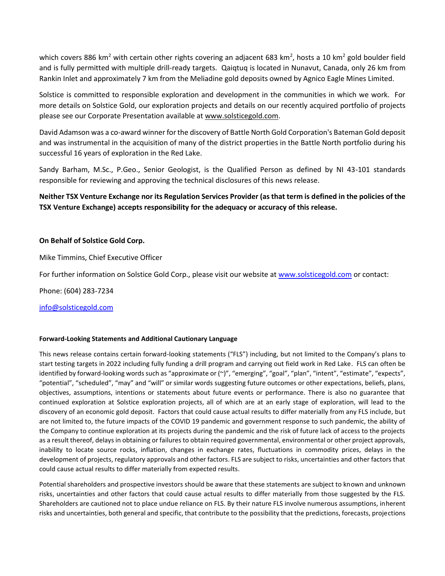which covers 886 km<sup>2</sup> with certain other rights covering an adjacent 683 km<sup>2</sup>, hosts a 10 km<sup>2</sup> gold boulder field and is fully permitted with multiple drill-ready targets. Qaiqtuq is located in Nunavut, Canada, only 26 km from Rankin Inlet and approximately 7 km from the Meliadine gold deposits owned by Agnico Eagle Mines Limited.

Solstice is committed to responsible exploration and development in the communities in which we work. For more details on Solstice Gold, our exploration projects and details on our recently acquired portfolio of projects please see our Corporate Presentation available at [www.solsticegold.com.](http://www.solsticegold.com/)

David Adamson was a co-award winner for the discovery of Battle North Gold Corporation's Bateman Gold deposit and was instrumental in the acquisition of many of the district properties in the Battle North portfolio during his successful 16 years of exploration in the Red Lake.

Sandy Barham, M.Sc., P.Geo., Senior Geologist, is the Qualified Person as defined by NI 43-101 standards responsible for reviewing and approving the technical disclosures of this news release.

## **Neither TSX Venture Exchange nor its Regulation Services Provider (as that term is defined in the policies of the TSX Venture Exchange) accepts responsibility for the adequacy or accuracy of this release.**

#### **On Behalf of Solstice Gold Corp.**

Mike Timmins, Chief Executive Officer

For further information on Solstice Gold Corp., please visit our website at [www.solsticegold.com](http://www.solsticegold.com/) or contact:

Phone: (604) 283-7234

[info@solsticegold.com](mailto:info@solsticegold.com)

#### **Forward-Looking Statements and Additional Cautionary Language**

This news release contains certain forward-looking statements ("FLS") including, but not limited to the Company's plans to start testing targets in 2022 including fully funding a drill program and carrying out field work in Red Lake. FLS can often be identified by forward-looking words such as "approximate or (~)", "emerging", "goal", "plan", "intent", "estimate", "expects", "potential", "scheduled", "may" and "will" or similar words suggesting future outcomes or other expectations, beliefs, plans, objectives, assumptions, intentions or statements about future events or performance. There is also no guarantee that continued exploration at Solstice exploration projects, all of which are at an early stage of exploration, will lead to the discovery of an economic gold deposit. Factors that could cause actual results to differ materially from any FLS include, but are not limited to, the future impacts of the COVID 19 pandemic and government response to such pandemic, the ability of the Company to continue exploration at its projects during the pandemic and the risk of future lack of access to the projects as a result thereof, delays in obtaining or failures to obtain required governmental, environmental or other project approvals, inability to locate source rocks, inflation, changes in exchange rates, fluctuations in commodity prices, delays in the development of projects, regulatory approvals and other factors. FLS are subject to risks, uncertainties and other factors that could cause actual results to differ materially from expected results.

Potential shareholders and prospective investors should be aware that these statements are subject to known and unknown risks, uncertainties and other factors that could cause actual results to differ materially from those suggested by the FLS. Shareholders are cautioned not to place undue reliance on FLS. By their nature FLS involve numerous assumptions, inherent risks and uncertainties, both general and specific, that contribute to the possibility that the predictions, forecasts, projections